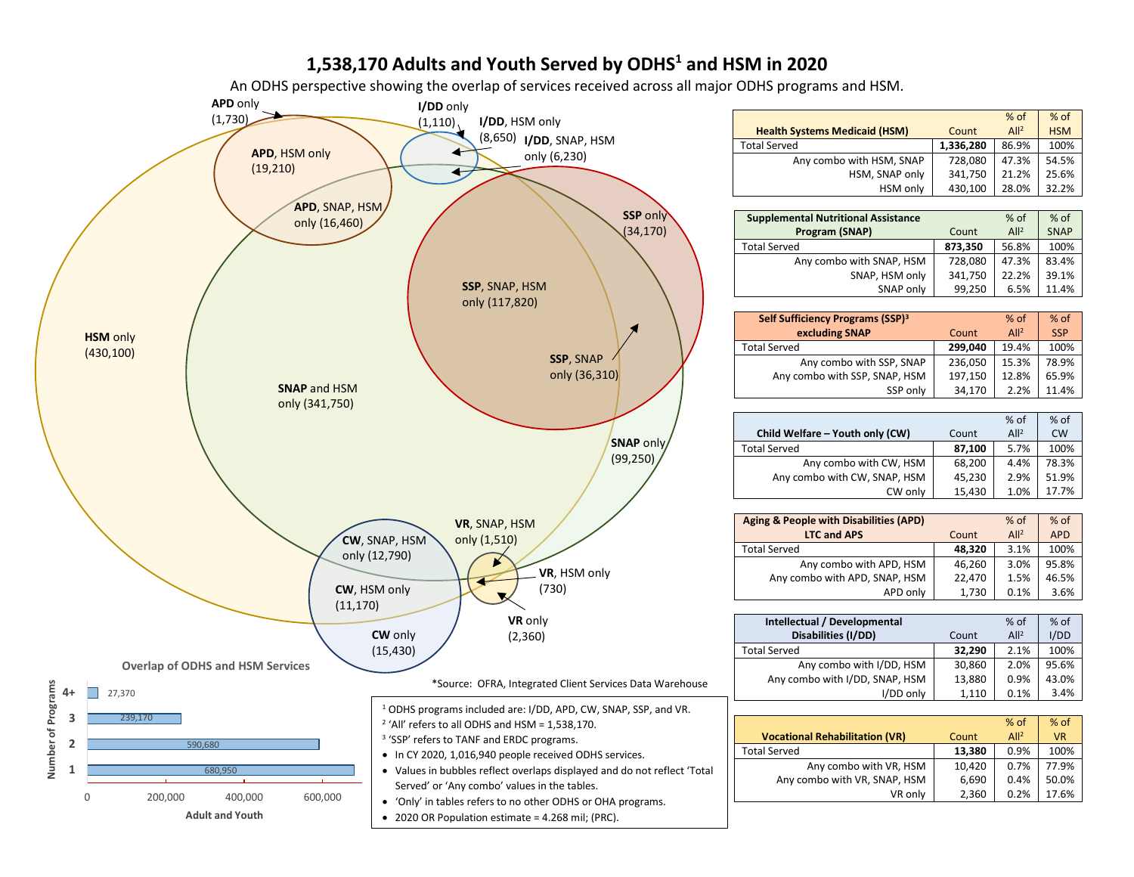# **1,538,170 Adults and Youth Served by ODHS1 and HSM in 2020**

An ODHS perspective showing the overlap of services received across all major ODHS programs and HSM.



|                                                   |           | % of             | % of        |
|---------------------------------------------------|-----------|------------------|-------------|
| <b>Health Systems Medicaid (HSM)</b>              | Count     | All <sup>2</sup> | <b>HSM</b>  |
| <b>Total Served</b>                               | 1,336,280 | 86.9%            | 100%        |
| Any combo with HSM, SNAP                          | 728,080   | 47.3%            | 54.5%       |
| HSM, SNAP only                                    | 341,750   | 21.2%            | 25.6%       |
| HSM only                                          | 430,100   | 28.0%            | 32.2%       |
|                                                   |           |                  |             |
| <b>Supplemental Nutritional Assistance</b>        |           | % of             | % of        |
| Program (SNAP)                                    | Count     | All <sup>2</sup> | <b>SNAP</b> |
| <b>Total Served</b>                               | 873,350   | 56.8%            | 100%        |
| Any combo with SNAP, HSM                          | 728,080   | 47.3%            | 83.4%       |
| SNAP, HSM only                                    | 341,750   | 22.2%            | 39.1%       |
| SNAP only                                         | 99,250    | 6.5%             | 11.4%       |
|                                                   |           |                  |             |
| Self Sufficiency Programs (SSP) <sup>3</sup>      |           | % of             | % of        |
| excluding SNAP                                    | Count     | All <sup>2</sup> | <b>SSP</b>  |
| <b>Total Served</b>                               | 299,040   | 19.4%            | 100%        |
| Any combo with SSP, SNAP                          | 236,050   | 15.3%            | 78.9%       |
| Any combo with SSP, SNAP, HSM                     | 197,150   | 12.8%            | 65.9%       |
| SSP only                                          | 34,170    | 2.2%             | 11.4%       |
|                                                   |           |                  |             |
|                                                   |           | % of             | % of        |
| Child Welfare - Youth only (CW)                   | Count     | All <sup>2</sup> | <b>CW</b>   |
| <b>Total Served</b>                               | 87,100    | 5.7%             | 100%        |
| Any combo with CW, HSM                            | 68,200    | 4.4%             | 78.3%       |
| Any combo with CW, SNAP, HSM                      | 45,230    | 2.9%             | 51.9%       |
| CW only                                           | 15,430    | 1.0%             | 17.7%       |
|                                                   |           |                  |             |
| <b>Aging &amp; People with Disabilities (APD)</b> |           | $%$ of           | $%$ of      |
| <b>LTC and APS</b>                                | Count     | All <sup>2</sup> | <b>APD</b>  |
| <b>Total Served</b>                               | 48,320    | 3.1%             | 100%        |
| Any combo with APD, HSM                           | 46,260    | 3.0%             | 95.8%       |
| Any combo with APD, SNAP, HSM                     | 22,470    | 1.5%             | 46.5%       |
| APD only                                          | 1,730     | 0.1%             | 3.6%        |
|                                                   |           |                  |             |
| Intellectual / Developmental                      |           | % of             | % of        |
| Disabilities (I/DD)                               | Count     | All <sup>2</sup> | I/DD        |
| <b>Total Served</b>                               | 32,290    | 2.1%             | 100%        |
| Any combo with I/DD, HSM                          | 30,860    | 2.0%             | 95.6%       |
| Any combo with I/DD, SNAP, HSM                    | 13,880    | 0.9%             | 43.0%       |
| I/DD only                                         | 1,110     | 0.1%             | 3.4%        |
|                                                   |           |                  |             |
|                                                   |           | % of             | % of        |
| <b>Vocational Rehabilitation (VR)</b>             | Count     | All <sup>2</sup> | <b>VR</b>   |
| <b>Total Served</b>                               | 13,380    | 0.9%             | 100%        |
| Any combo with VR, HSM                            | 10,420    | 0.7%             | 77.9%       |
| Any combo with VR, SNAP, HSM                      | 6,690     | 0.4%             | 50.0%       |
| VR only                                           | 2,360     | 0.2%             | 17.6%       |
|                                                   |           |                  |             |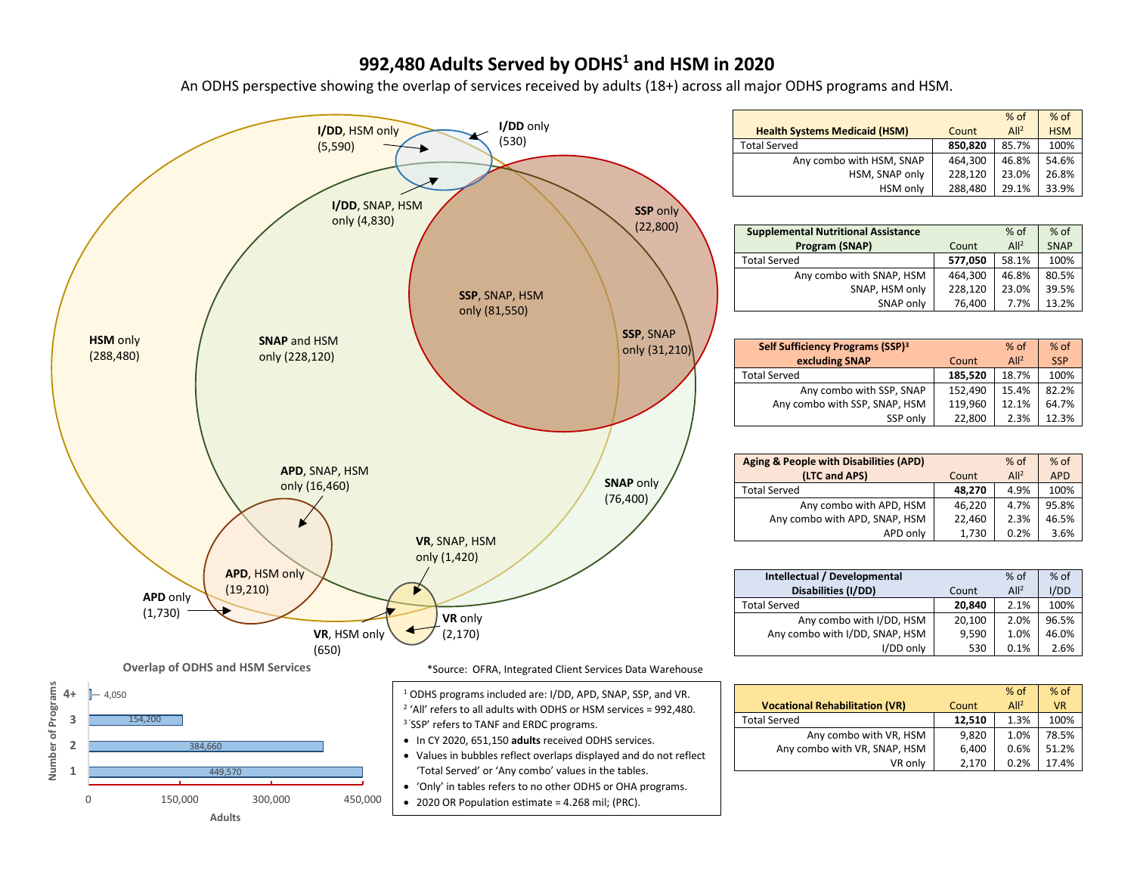## **992,480 Adults Served by ODHS1 and HSM in 2020**

An ODHS perspective showing the overlap of services received by adults (18+) across all major ODHS programs and HSM.



**Adults**

|                                      |         | $%$ of           | % of       |
|--------------------------------------|---------|------------------|------------|
| <b>Health Systems Medicaid (HSM)</b> | Count   | All <sup>2</sup> | <b>HSM</b> |
| <b>Total Served</b>                  | 850,820 | 85.7%            | 100%       |
| Any combo with HSM, SNAP             | 464.300 | 46.8%            | 54.6%      |
| HSM, SNAP only                       | 228.120 | 23.0%            | 26.8%      |
| HSM only                             | 288,480 | 29.1%            | 33.9%      |
|                                      |         |                  |            |

| <b>Supplemental Nutritional Assistance</b> |         | $%$ of           | $%$ of      |
|--------------------------------------------|---------|------------------|-------------|
| Program (SNAP)                             | Count   | All <sup>2</sup> | <b>SNAP</b> |
| <b>Total Served</b>                        | 577.050 | 58.1%            | 100%        |
| Any combo with SNAP, HSM                   | 464,300 | 46.8%            | 80.5%       |
| SNAP, HSM only                             | 228,120 | 23.0%            | 39.5%       |
| SNAP only                                  | 76,400  | 7.7%             | 13.2%       |

| Self Sufficiency Programs (SSP) <sup>3</sup> |         | $%$ of           | $%$ of     |
|----------------------------------------------|---------|------------------|------------|
| excluding SNAP                               | Count   | All <sup>2</sup> | <b>SSP</b> |
| <b>Total Served</b>                          | 185.520 | 18.7%            | 100%       |
| Any combo with SSP, SNAP                     | 152.490 | 15.4%            | 82.2%      |
| Any combo with SSP, SNAP, HSM                | 119.960 | 12.1%            | 64.7%      |
| SSP only                                     | 22,800  | 2.3%             | 12.3%      |

| <b>Aging &amp; People with Disabilities (APD)</b><br>(LTC and APS) | Count  | $%$ of<br>All <sup>2</sup> | $%$ of<br><b>APD</b> |
|--------------------------------------------------------------------|--------|----------------------------|----------------------|
| Total Served                                                       | 48.270 | 4.9%                       | 100%                 |
| Any combo with APD, HSM                                            | 46.220 | 4.7%                       | 95.8%                |
| Any combo with APD, SNAP, HSM                                      | 22.460 | 2.3%                       | 46.5%                |
| APD only                                                           | 1,730  | 0.2%                       | 3.6%                 |

| Intellectual / Developmental   |        | $%$ of           | % of  |
|--------------------------------|--------|------------------|-------|
| Disabilities (I/DD)            | Count  | All <sup>2</sup> | I/DD  |
| <b>Total Served</b>            | 20.840 | 2.1%             | 100%  |
| Any combo with I/DD, HSM       | 20,100 | 2.0%             | 96.5% |
| Any combo with I/DD, SNAP, HSM | 9,590  | 1.0%             | 46.0% |
| I/DD only                      | 530    | 0.1%             | 2.6%  |

|                                       |        | $%$ of          | $%$ of    |
|---------------------------------------|--------|-----------------|-----------|
| <b>Vocational Rehabilitation (VR)</b> | Count  | Al <sup>2</sup> | <b>VR</b> |
| <b>Total Served</b>                   | 12,510 | 1.3%            | 100%      |
| Any combo with VR, HSM                | 9,820  | 1.0%            | 78.5%     |
| Any combo with VR, SNAP, HSM          | 6.400  | 0.6%            | 51.2%     |
| VR only                               | 2,170  | 0.2%            | 17.4%     |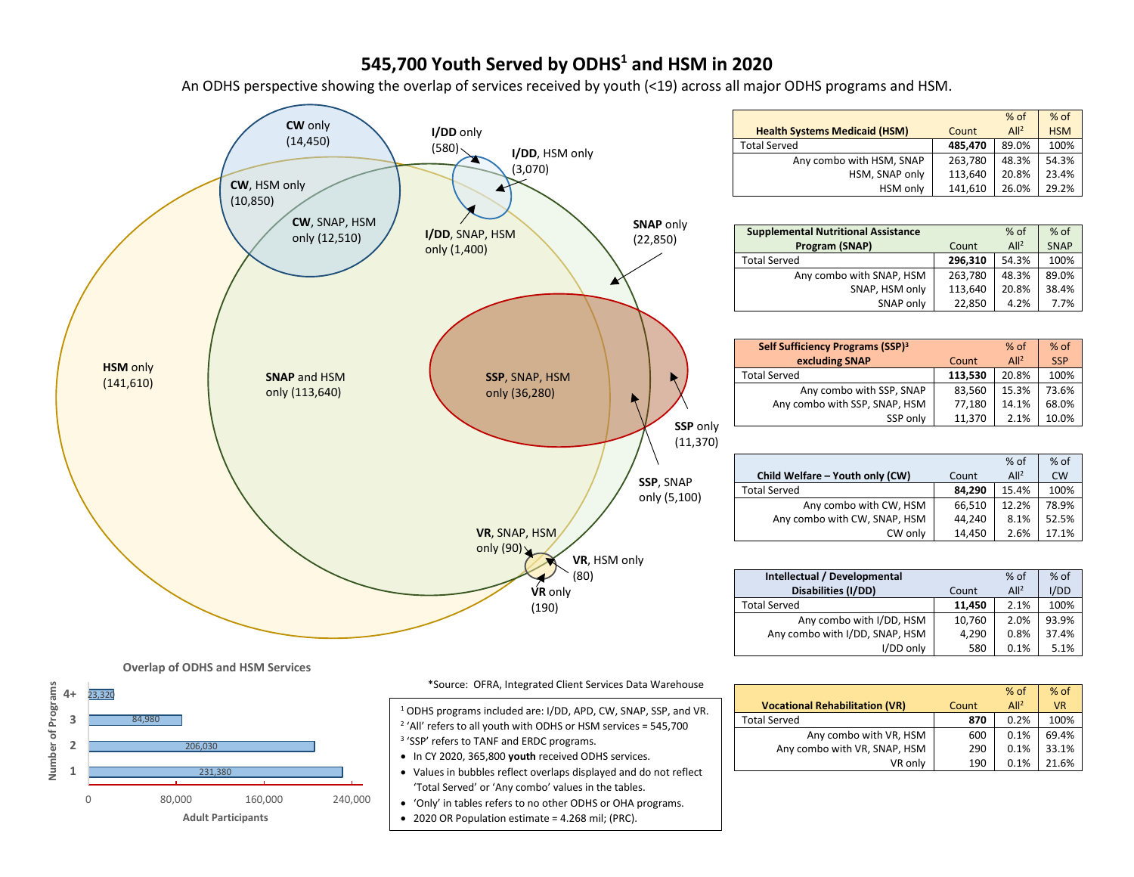## **545,700 Youth Served by ODHS1 and HSM in 2020**

An ODHS perspective showing the overlap of services received by youth (<19) across all major ODHS programs and HSM.



| $%$ of<br>$%$ of                        |
|-----------------------------------------|
| All <sup>2</sup><br><b>HSM</b><br>Count |
| 89.0%<br>100%<br>485.470                |
| 54.3%<br>263,780<br>48.3%               |
| 113,640<br>23.4%<br>20.8%               |
| 141,610<br>29.2%<br>26.0%               |
|                                         |

| <b>Supplemental Nutritional Assistance</b> |         | $%$ of           | $%$ of      |
|--------------------------------------------|---------|------------------|-------------|
| Program (SNAP)                             | Count   | All <sup>2</sup> | <b>SNAP</b> |
| <b>Total Served</b>                        | 296.310 | 54.3%            | 100%        |
| Any combo with SNAP, HSM                   | 263,780 | 48.3%            | 89.0%       |
| SNAP, HSM only                             | 113.640 | 20.8%            | 38.4%       |
| SNAP only                                  | 22,850  | 4.2%             | 7.7%        |

| Self Sufficiency Programs (SSP) <sup>3</sup><br>excluding SNAP | Count   | $%$ of<br>All <sup>2</sup> | $%$ of<br><b>SSP</b> |
|----------------------------------------------------------------|---------|----------------------------|----------------------|
| <b>Total Served</b>                                            | 113,530 | 20.8%                      | 100%                 |
| Any combo with SSP, SNAP                                       | 83.560  | 15.3%                      | 73.6%                |
| Any combo with SSP, SNAP, HSM                                  | 77.180  | 14.1%                      | 68.0%                |
| SSP only                                                       | 11.370  | 2.1%                       | 10.0%                |

|                                 |        | $%$ of           | $%$ of    |
|---------------------------------|--------|------------------|-----------|
| Child Welfare - Youth only (CW) | Count  | All <sup>2</sup> | <b>CW</b> |
| <b>Total Served</b>             | 84.290 | 15.4%            | 100%      |
| Any combo with CW, HSM          | 66,510 | 12.2%            | 78.9%     |
| Any combo with CW, SNAP, HSM    | 44.240 | 8.1%             | 52.5%     |
| CW only                         | 14,450 | 2.6%             | 17.1%     |

| Intellectual / Developmental   |        | $%$ of           | % of  |
|--------------------------------|--------|------------------|-------|
| Disabilities (I/DD)            | Count  | All <sup>2</sup> | I/DD  |
| <b>Total Served</b>            | 11.450 | 2.1%             | 100%  |
| Any combo with I/DD, HSM       | 10,760 | 2.0%             | 93.9% |
| Any combo with I/DD, SNAP, HSM | 4,290  | 0.8%             | 37.4% |
| I/DD only                      | 580    | 0.1%             | 5.1%  |

|                                       |       | $%$ of          | $%$ of    |
|---------------------------------------|-------|-----------------|-----------|
| <b>Vocational Rehabilitation (VR)</b> | Count | Al <sup>2</sup> | <b>VR</b> |
| <b>Total Served</b>                   | 870   | 0.2%            | 100%      |
| Any combo with VR, HSM                | 600   | 0.1%            | 69.4%     |
| Any combo with VR, SNAP, HSM          | 290   | 0.1%            | 33.1%     |
| VR only                               | 190   | 0.1%            | 21.6%     |